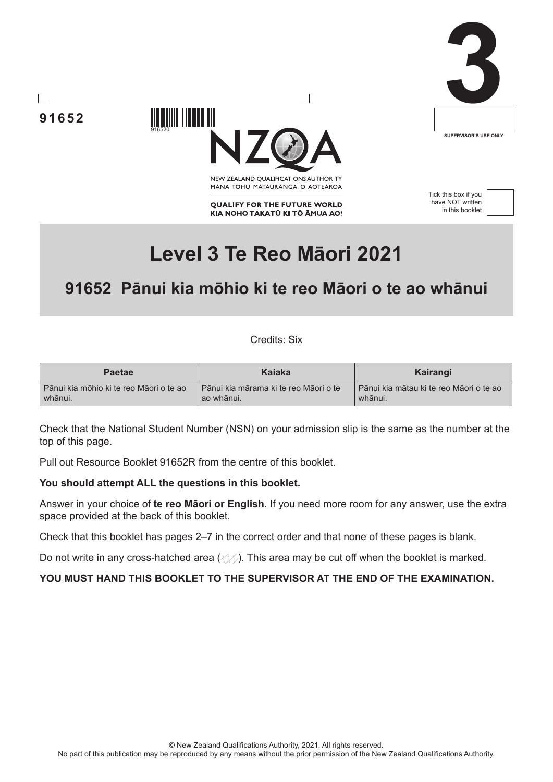





NEW ZEALAND OUALIFICATIONS AUTHORITY MANA TOHU MATAURANGA O AOTEAROA

**OUALIFY FOR THE FUTURE WORLD** KIA NOHO TAKATŪ KI TŌ ĀMUA AO! Tick this box if you have NOT written in this booklet



# **Level 3 Te Reo Māori 2021**

# **91652 Pānui kia mōhio ki te reo Māori o te ao whānui**

Credits: Six

| <b>Paetae</b>                             | Kaiaka                                  | Kairangi                                |
|-------------------------------------------|-----------------------------------------|-----------------------------------------|
| l Pānui kia mōhio ki te reo Māori o te ao | l Pānui kia mārama ki te reo Māori o te | Pānui kia mātau ki te reo Māori o te ao |
| whānui.                                   | ao whānui.                              | whānui.                                 |

Check that the National Student Number (NSN) on your admission slip is the same as the number at the top of this page.

Pull out Resource Booklet 91652R from the centre of this booklet.

#### **You should attempt ALL the questions in this booklet.**

916520

Answer in your choice of **te reo Māori or English**. If you need more room for any answer, use the extra space provided at the back of this booklet.

Check that this booklet has pages 2–7 in the correct order and that none of these pages is blank.

Do not write in any cross-hatched area  $(\Diamond \Diamond)$ . This area may be cut off when the booklet is marked.

#### **YOU MUST HAND THIS BOOKLET TO THE SUPERVISOR AT THE END OF THE EXAMINATION.**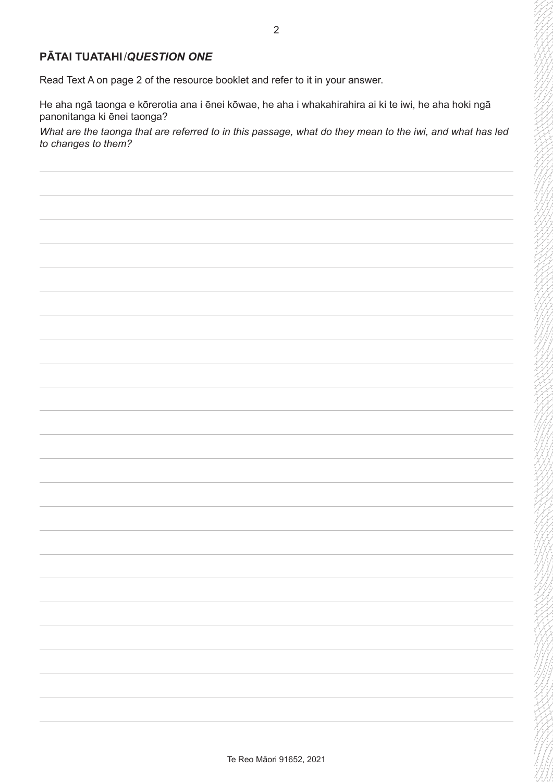### **PĀTAI TUATAHI** / *QUESTION ONE*

Read Text A on page 2 of the resource booklet and refer to it in your answer.

He aha ngā taonga e kōrerotia ana i ēnei kōwae, he aha i whakahirahira ai ki te iwi, he aha hoki ngā panonitanga ki ēnei taonga?

*What are the taonga that are referred to in this passage, what do they mean to the iwi, and what has led to changes to them?*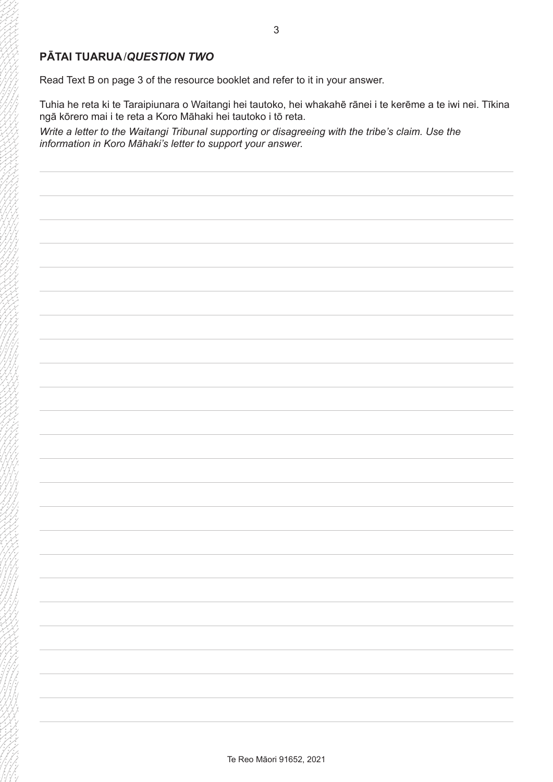## **PĀTAI TUARUA** / *QUESTION TWO*

Read Text B on page 3 of the resource booklet and refer to it in your answer.

Tuhia he reta ki te Taraipiunara o Waitangi hei tautoko, hei whakahē rānei i te kerēme a te iwi nei. Tīkina ngā kōrero mai i te reta a Koro Māhaki hei tautoko i tō reta.

*Write a letter to the Waitangi Tribunal supporting or disagreeing with the tribe's claim. Use the information in Koro Māhaki's letter to support your answer.*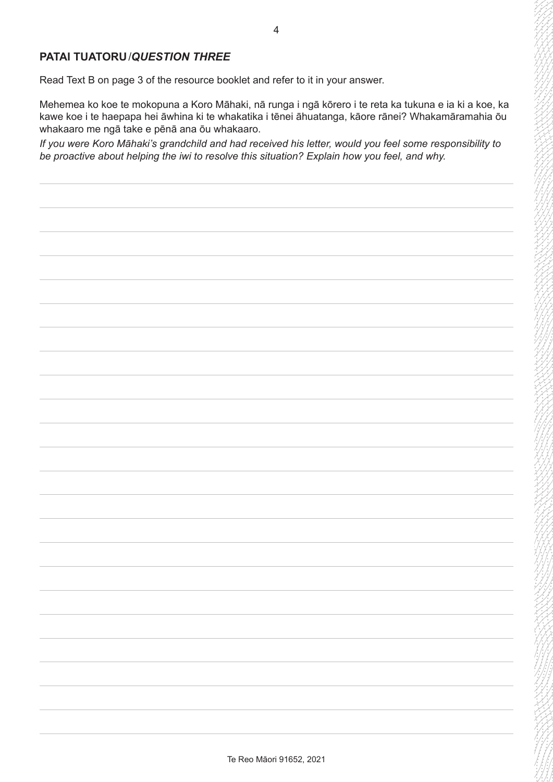Read Text B on page 3 of the resource booklet and refer to it in your answer.

Mehemea ko koe te mokopuna a Koro Māhaki, nā runga i ngā kōrero i te reta ka tukuna e ia ki a koe, ka kawe koe i te haepapa hei āwhina ki te whakatika i tēnei āhuatanga, kāore rānei? Whakamāramahia ōu whakaaro me ngā take e pēnā ana ōu whakaaro.

*If you were Koro Māhaki's grandchild and had received his letter, would you feel some responsibility to be proactive about helping the iwi to resolve this situation? Explain how you feel, and why.*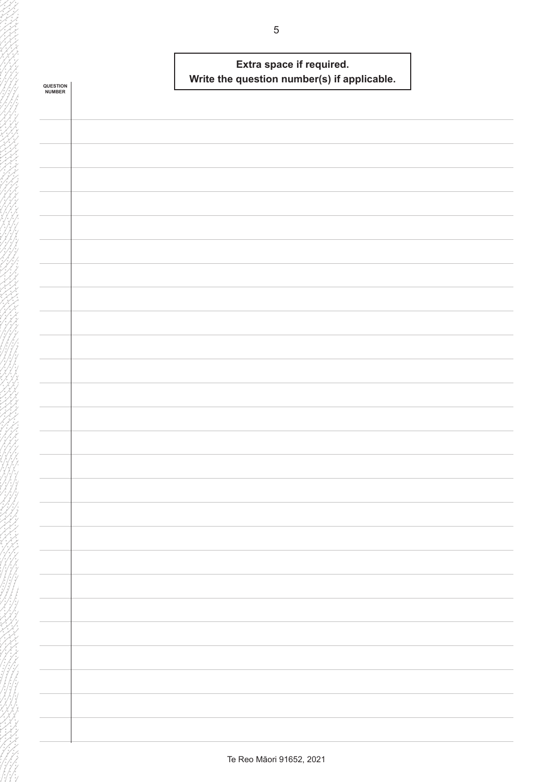|                            | Extra space if required.                    |  |
|----------------------------|---------------------------------------------|--|
|                            | Write the question number(s) if applicable. |  |
| <b>QUESTION<br/>NUMBER</b> |                                             |  |
|                            |                                             |  |
|                            |                                             |  |
|                            |                                             |  |
|                            |                                             |  |
|                            |                                             |  |
|                            |                                             |  |
|                            |                                             |  |
|                            |                                             |  |
|                            |                                             |  |
|                            |                                             |  |
|                            |                                             |  |
|                            |                                             |  |
|                            |                                             |  |
|                            |                                             |  |
|                            |                                             |  |
|                            |                                             |  |
|                            |                                             |  |
|                            |                                             |  |
|                            |                                             |  |
|                            |                                             |  |
|                            |                                             |  |
|                            |                                             |  |
|                            |                                             |  |
|                            |                                             |  |
|                            |                                             |  |
|                            |                                             |  |
|                            |                                             |  |
|                            |                                             |  |
|                            |                                             |  |
|                            |                                             |  |
|                            |                                             |  |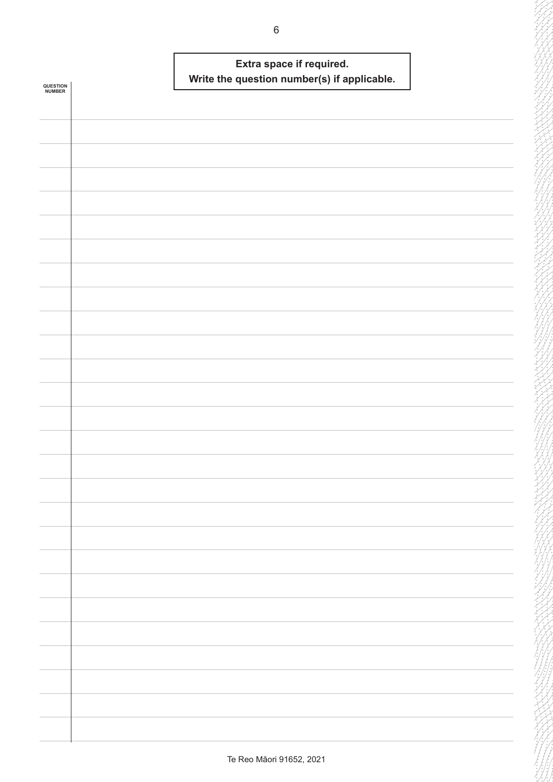|                            | Extra space if required.<br>Write the question number(s) if applicable. |  |
|----------------------------|-------------------------------------------------------------------------|--|
| <b>QUESTION<br/>NUMBER</b> |                                                                         |  |
|                            |                                                                         |  |
|                            |                                                                         |  |
|                            |                                                                         |  |
|                            |                                                                         |  |
|                            |                                                                         |  |
|                            |                                                                         |  |
|                            |                                                                         |  |
|                            |                                                                         |  |
|                            |                                                                         |  |
|                            |                                                                         |  |
|                            |                                                                         |  |
|                            |                                                                         |  |
|                            |                                                                         |  |
|                            |                                                                         |  |
|                            |                                                                         |  |
|                            |                                                                         |  |
|                            |                                                                         |  |
|                            |                                                                         |  |
|                            |                                                                         |  |